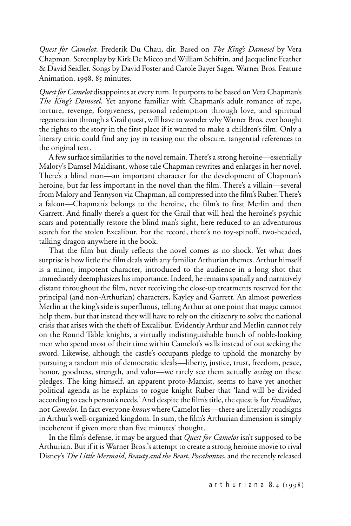*Quest for Camelot*. Frederik Du Chau, dir. Based on *The King's Damosel* by Vera Chapman. Screenplay by Kirk De Micco and William Schifrin, and Jacqueline Feather & David Seidler. Songs by David Foster and Carole Bayer Sager. Warner Bros. Feature Animation. 1998. 85 minutes.

*Quest for Camelot* disappoints at every turn. It purports to be based on Vera Chapman's *The King's Damosel*. Yet anyone familiar with Chapman's adult romance of rape, torture, revenge, forgiveness, personal redemption through love, and spiritual regeneration through a Grail quest, will have to wonder why Warner Bros. ever bought the rights to the story in the first place if it wanted to make a children's film. Only a literary critic could find any joy in teasing out the obscure, tangential references to the original text.

A few surface similarities to the novel remain. There's a strong heroine—essentially Malory's Damsel Maldisant, whose tale Chapman rewrites and enlarges in her novel. There's a blind man—an important character for the development of Chapman's heroine, but far less important in the novel than the film. There's a villain—several from Malory and Tennyson via Chapman, all compressed into the film's Ruber. There's a falcon—Chapman's belongs to the heroine, the film's to first Merlin and then Garrett. And finally there's a quest for the Grail that will heal the heroine's psychic scars and potentially restore the blind man's sight, here reduced to an adventurous search for the stolen Excalibur. For the record, there's no toy-spinoff, two-headed, talking dragon anywhere in the book.

That the film but dimly reflects the novel comes as no shock. Yet what does surprise is how little the film deals with any familiar Arthurian themes. Arthur himself is a minor, impotent character, introduced to the audience in a long shot that immediately deemphasizes his importance. Indeed, he remains spatially and narratively distant throughout the film, never receiving the close-up treatments reserved for the principal (and non-Arthurian) characters, Kayley and Garrett. An almost powerless Merlin at the king's side is superfluous, telling Arthur at one point that magic cannot help them, but that instead they will have to rely on the citizenry to solve the national crisis that arises with the theft of Excalibur. Evidently Arthur and Merlin cannot rely on the Round Table knights, a virtually indistinguishable bunch of noble-looking men who spend most of their time within Camelot's walls instead of out seeking the sword. Likewise, although the castle's occupants pledge to uphold the monarchy by pursuing a random mix of democratic ideals—liberty, justice, trust, freedom, peace, honor, goodness, strength, and valor—we rarely see them actually *acting* on these pledges. The king himself, an apparent proto-Marxist, seems to have yet another political agenda as he explains to rogue knight Ruber that 'land will be divided according to each person's needs.' And despite the film's title, the quest is for *Excalibur*, not *Camelot*. In fact everyone *knows* where Camelot lies—there are literally roadsigns in Arthur's well-organized kingdom. In sum, the film's Arthurian dimension is simply incoherent if given more than five minutes' thought.

In the film's defense, it may be argued that *Quest for Camelot* isn't supposed to be Arthurian. But if it is Warner Bros.'s attempt to create a strong heroine movie to rival Disney's *The Little Mermaid*, *Beauty and the Beast*, *Pocahontas*, and the recently released